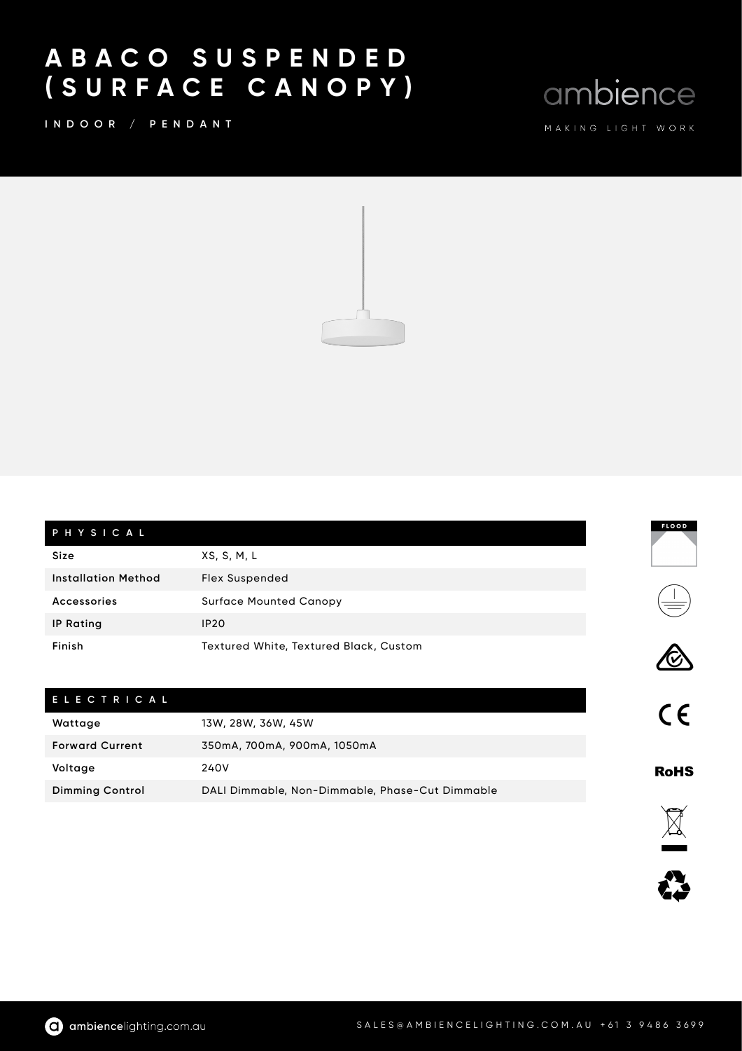## A B A C O S U S P E N D E D ( S U R F A C E C A N O P Y )

I N D O O R / P E N D A N T

ambience

**FLOOD** 

 $\begin{tabular}{c} \hline \quad \quad & \quad \quad \\ \hline \quad \quad & \quad \quad \\ \hline \quad \quad & \quad \quad \\ \hline \quad \quad & \quad \quad \\ \hline \quad \quad & \quad \quad \\ \hline \quad \quad & \quad \quad \\ \hline \quad \quad & \quad \quad \\ \hline \quad \quad & \quad \quad \\ \hline \quad \quad & \quad \quad \\ \hline \quad \quad & \quad \quad \\ \hline \quad \quad & \quad \quad \\ \hline \quad \quad & \quad \quad \\ \hline \quad \quad & \quad \quad \\ \hline \quad \quad & \quad \quad \\ \hline \quad \quad & \quad \quad \\ \hline \quad \quad & \quad \quad \\ \hline \$ 

 $C\epsilon$ 

**RoHS** 

E2 IX



| PHYSICAL            |                                        |
|---------------------|----------------------------------------|
| Size                | XS, S, M, L                            |
| Installation Method | <b>Flex Suspended</b>                  |
| Accessories         | <b>Surface Mounted Canopy</b>          |
| <b>IP Rating</b>    | <b>IP20</b>                            |
| Finish              | Textured White, Textured Black, Custom |

| ELECTRICAL             |                                                 |
|------------------------|-------------------------------------------------|
| Wattage                | 13W, 28W, 36W, 45W                              |
| <b>Forward Current</b> | 350mA, 700mA, 900mA, 1050mA                     |
| Voltage                | 240V                                            |
| <b>Dimming Control</b> | DALI Dimmable, Non-Dimmable, Phase-Cut Dimmable |

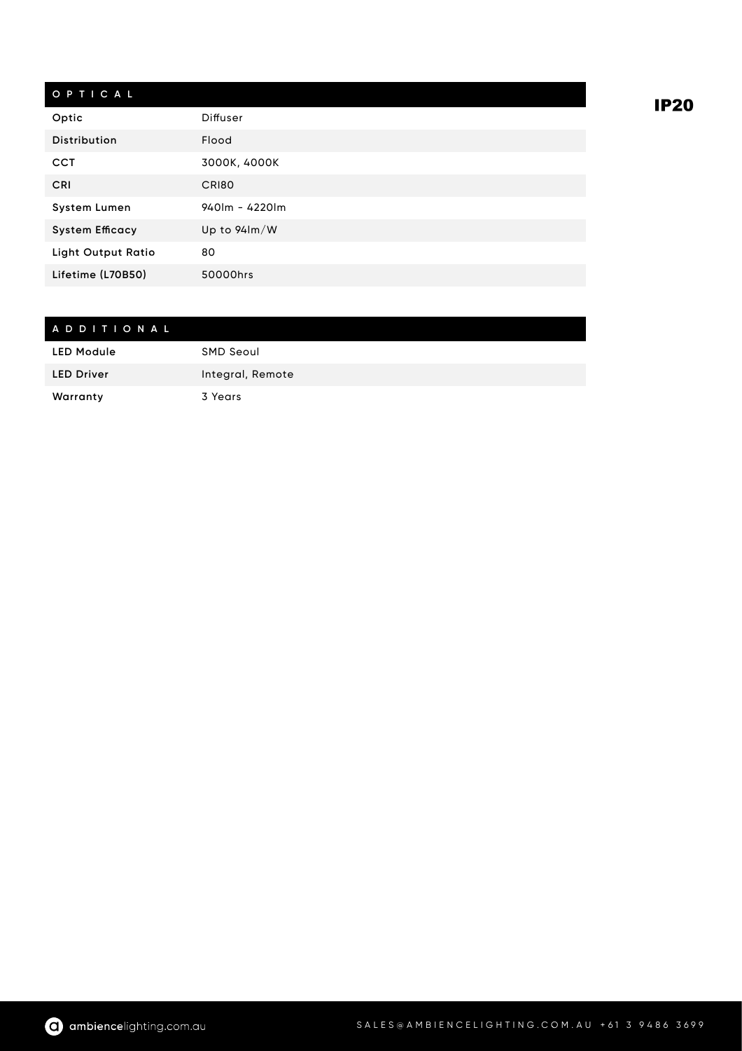## O P T I C A L

| Optic                     | Diffuser                      |
|---------------------------|-------------------------------|
| <b>Distribution</b>       | Flood                         |
| <b>CCT</b>                | 3000K, 4000K                  |
| <b>CRI</b>                | CRI80                         |
| <b>System Lumen</b>       | $940$ lm - 4220lm             |
| <b>System Efficacy</b>    | Up to $94 \text{Im}/\text{W}$ |
| <b>Light Output Ratio</b> | 80                            |
| Lifetime (L70B50)         | 50000hrs                      |

## A D D I T I O N A L LED Module SMD Seoul LED Driver **Integral, Remote** Warranty 3 Years

**IP20**